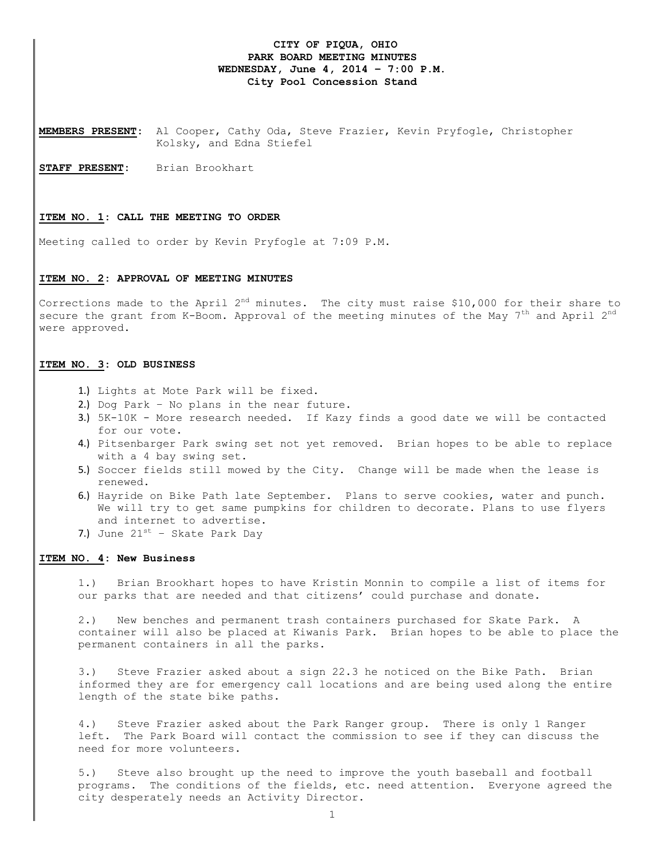### **CITY OF PIQUA, OHIO PARK BOARD MEETING MINUTES WEDNESDAY, June 4, 2014 – 7:00 P.M. City Pool Concession Stand**

**MEMBERS PRESENT:** Al Cooper, Cathy Oda, Steve Frazier, Kevin Pryfogle, Christopher Kolsky, and Edna Stiefel

**STAFF PRESENT:** Brian Brookhart

#### **ITEM NO. 1: CALL THE MEETING TO ORDER**

Meeting called to order by Kevin Pryfogle at 7:09 P.M.

#### **ITEM NO. 2: APPROVAL OF MEETING MINUTES**

Corrections made to the April 2<sup>nd</sup> minutes. The city must raise \$10,000 for their share to secure the grant from K-Boom. Approval of the meeting minutes of the May  $7^{\text{th}}$  and April  $2^{\text{nd}}$ were approved.

#### **ITEM NO. 3: OLD BUSINESS**

- 1.) Lights at Mote Park will be fixed.
- 2.) Dog Park No plans in the near future.
- 3.) 5K-10K More research needed. If Kazy finds a good date we will be contacted for our vote.
- 4.) Pitsenbarger Park swing set not yet removed. Brian hopes to be able to replace with a 4 bay swing set.
- 5.) Soccer fields still mowed by the City. Change will be made when the lease is renewed.
- 6.) Hayride on Bike Path late September. Plans to serve cookies, water and punch. We will try to get same pumpkins for children to decorate. Plans to use flyers and internet to advertise.
- 7.) June  $21^{st}$  Skate Park Day

### **ITEM NO. 4: New Business**

1.) Brian Brookhart hopes to have Kristin Monnin to compile a list of items for our parks that are needed and that citizens' could purchase and donate.

2.) New benches and permanent trash containers purchased for Skate Park. A container will also be placed at Kiwanis Park. Brian hopes to be able to place the permanent containers in all the parks.

3.) Steve Frazier asked about a sign 22.3 he noticed on the Bike Path. Brian informed they are for emergency call locations and are being used along the entire length of the state bike paths.

4.) Steve Frazier asked about the Park Ranger group. There is only 1 Ranger left. The Park Board will contact the commission to see if they can discuss the need for more volunteers.

5.) Steve also brought up the need to improve the youth baseball and football programs. The conditions of the fields, etc. need attention. Everyone agreed the city desperately needs an Activity Director.